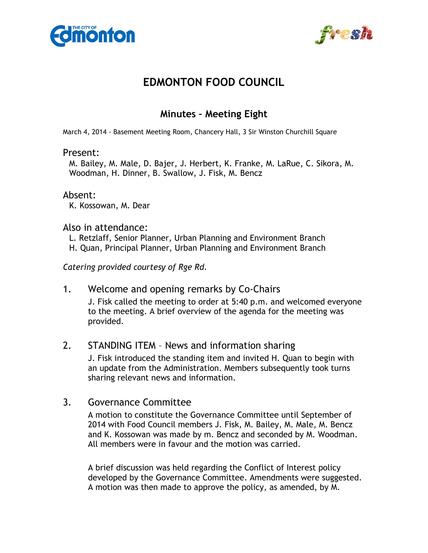



# **EDMONTON FOOD COUNCIL**

# **Minutes – Meeting Eight**

March 4, 2014 - Basement Meeting Room, Chancery Hall, 3 Sir Winston Churchill Square

#### Present:

M. Bailey, M. Male, D. Bajer, J. Herbert, K. Franke, M. LaRue, C. Sikora, M. Woodman, H. Dinner, B. Swallow, J. Fisk, M. Bencz

#### Absent:

K. Kossowan, M. Dear

#### Also in attendance:

- L. Retzlaff, Senior Planner, Urban Planning and Environment Branch
- H. Quan, Principal Planner, Urban Planning and Environment Branch

*Catering provided courtesy of Rge Rd.*

#### 1. Welcome and opening remarks by Co-Chairs

J. Fisk called the meeting to order at 5:40 p.m. and welcomed everyone to the meeting. A brief overview of the agenda for the meeting was provided.

#### 2. STANDING ITEM – News and information sharing

J. Fisk introduced the standing item and invited H. Quan to begin with an update from the Administration. Members subsequently took turns sharing relevant news and information.

# 3. Governance Committee

A motion to constitute the Governance Committee until September of 2014 with Food Council members J. Fisk, M. Bailey, M. Male, M. Bencz and K. Kossowan was made by m. Bencz and seconded by M. Woodman. All members were in favour and the motion was carried.

A brief discussion was held regarding the Conflict of Interest policy developed by the Governance Committee. Amendments were suggested. A motion was then made to approve the policy, as amended, by M.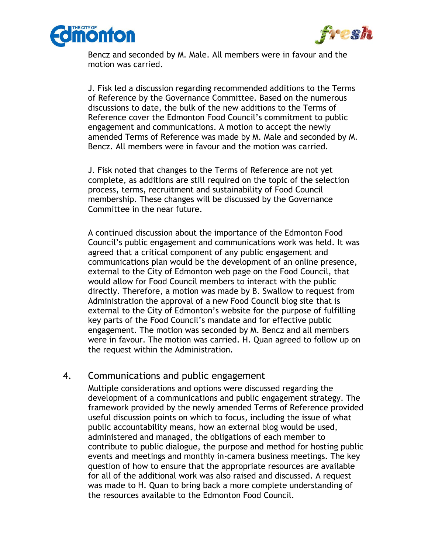



Bencz and seconded by M. Male. All members were in favour and the motion was carried.

J. Fisk led a discussion regarding recommended additions to the Terms of Reference by the Governance Committee. Based on the numerous discussions to date, the bulk of the new additions to the Terms of Reference cover the Edmonton Food Council's commitment to public engagement and communications. A motion to accept the newly amended Terms of Reference was made by M. Male and seconded by M. Bencz. All members were in favour and the motion was carried.

J. Fisk noted that changes to the Terms of Reference are not yet complete, as additions are still required on the topic of the selection process, terms, recruitment and sustainability of Food Council membership. These changes will be discussed by the Governance Committee in the near future.

A continued discussion about the importance of the Edmonton Food Council's public engagement and communications work was held. It was agreed that a critical component of any public engagement and communications plan would be the development of an online presence, external to the City of Edmonton web page on the Food Council, that would allow for Food Council members to interact with the public directly. Therefore, a motion was made by B. Swallow to request from Administration the approval of a new Food Council blog site that is external to the City of Edmonton's website for the purpose of fulfilling key parts of the Food Council's mandate and for effective public engagement. The motion was seconded by M. Bencz and all members were in favour. The motion was carried. H. Quan agreed to follow up on the request within the Administration.

#### 4. Communications and public engagement

Multiple considerations and options were discussed regarding the development of a communications and public engagement strategy. The framework provided by the newly amended Terms of Reference provided useful discussion points on which to focus, including the issue of what public accountability means, how an external blog would be used, administered and managed, the obligations of each member to contribute to public dialogue, the purpose and method for hosting public events and meetings and monthly in-camera business meetings. The key question of how to ensure that the appropriate resources are available for all of the additional work was also raised and discussed. A request was made to H. Quan to bring back a more complete understanding of the resources available to the Edmonton Food Council.